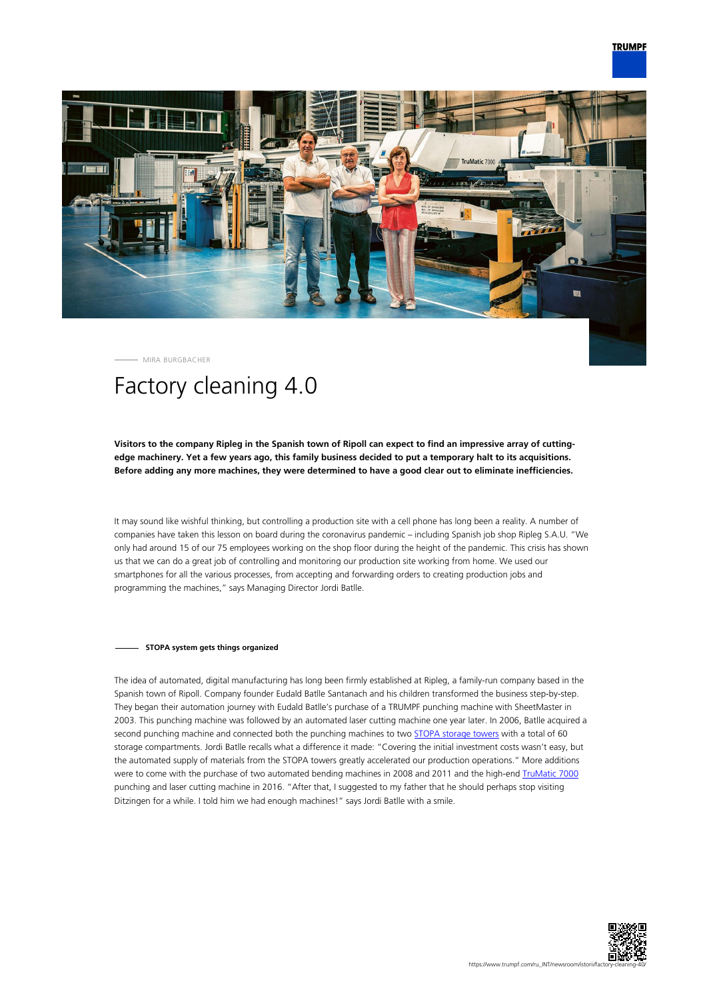

MIRA BURGBACHER

# Factory cleaning 4.0

## **Visitors to the company Ripleg in the Spanish town of Ripoll can expect to find an impressive array of cuttingedge machinery. Yet a few years ago, this family business decided to put a temporary halt to its acquisitions. Before adding any more machines, they were determined to have a good clear out to eliminate inefficiencies.**

It may sound like wishful thinking, but controlling a production site with a cell phone has long been a reality. A number of companies have taken this lesson on board during the coronavirus pandemic – including Spanish job shop Ripleg S.A.U. "We only had around 15 of our 75 employees working on the shop floor during the height of the pandemic. This crisis has shown us that we can do a great job of controlling and monitoring our production site working from home. We used our smartphones for all the various processes, from accepting and forwarding orders to creating production jobs and programming the machines," says Managing Director Jordi Batlle.

#### **STOPA system gets things organized**

The idea of automated, digital manufacturing has long been firmly established at Ripleg, a family-run company based in the Spanish town of Ripoll. Company founder Eudald Batlle Santanach and his children transformed the business step-by-step. They began their automation journey with Eudald Batlle's purchase of a TRUMPF punching machine with SheetMaster in 2003. This punching machine was followed by an automated laser cutting machine one year later. In 2006, Batlle acquired a second punching machine and connected both the punching machines to two [STOPA storage towers](https://www.trumpf.com/en_INT/products/machines-systems/storage-systems/) with a total of 60 storage compartments. Jordi Batlle recalls what a difference it made: "Covering the initial investment costs wasn't easy, but the automated supply of materials from the STOPA towers greatly accelerated our production operations." More additions were to come with the purchase of two automated bending machines in 2008 and 2011 and the high-end [TruMatic 7000](https://www.trumpf.com/en_INT/products/machines-systems/punch-laser-machines/trumatic-7000/) punching and laser cutting machine in 2016. "After that, I suggested to my father that he should perhaps stop visiting Ditzingen for a while. I told him we had enough machines!" says Jordi Batlle with a smile.

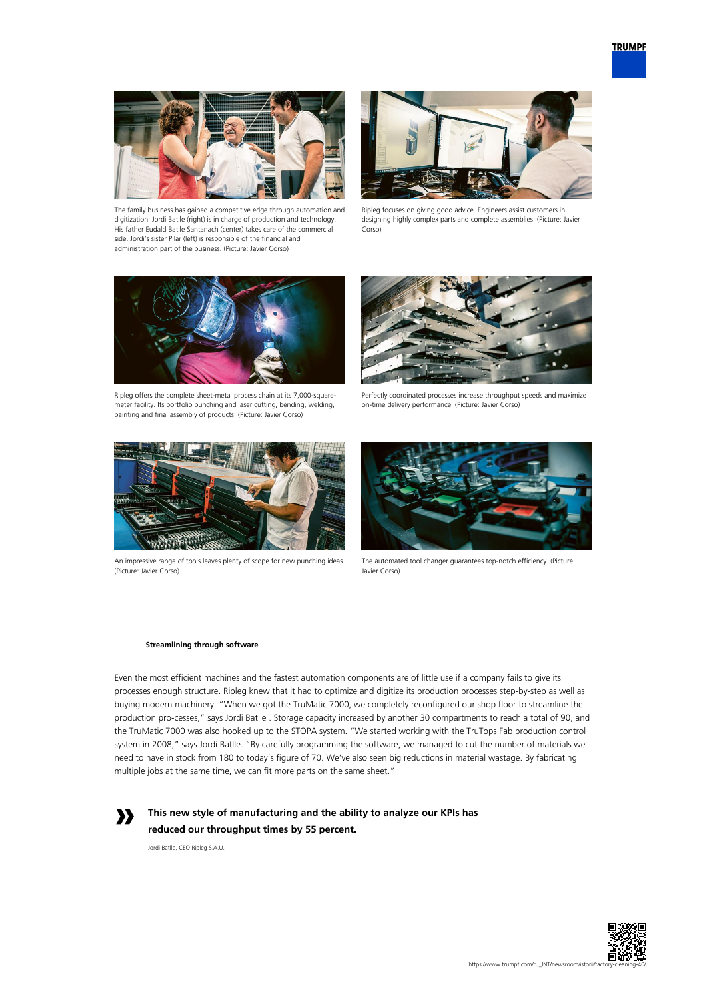

The family business has gained a competitive edge through automation and digitization. Jordi Batlle (right) is in charge of production and technology. His father Eudald Batlle Santanach (center) takes care of the commercial side. Jordi's sister Pilar (left) is responsible of the financial and administration part of the business. (Picture: Javier Corso)



Ripleg focuses on giving good advice. Engineers assist customers in designing highly complex parts and complete assemblies. (Picture: Javier Corso)



Ripleg offers the complete sheet-metal process chain at its 7,000-squaremeter facility. Its portfolio punching and laser cutting, bending, welding, painting and final assembly of products. (Picture: Javier Corso)



Perfectly coordinated processes increase throughput speeds and maximize on-time delivery performance. (Picture: Javier Corso)



An impressive range of tools leaves plenty of scope for new punching ideas. (Picture: Javier Corso)



The automated tool changer guarantees top-notch efficiency. (Picture: Javier Corso)

#### **Streamlining through software**

Even the most efficient machines and the fastest automation components are of little use if a company fails to give its processes enough structure. Ripleg knew that it had to optimize and digitize its production processes step-by-step as well as buying modern machinery. "When we got the TruMatic 7000, we completely reconfigured our shop floor to streamline the production pro-cesses," says Jordi Batlle . Storage capacity increased by another 30 compartments to reach a total of 90, and the TruMatic 7000 was also hooked up to the STOPA system. "We started working with the TruTops Fab production control system in 2008," says Jordi Batlle. "By carefully programming the software, we managed to cut the number of materials we need to have in stock from 180 to today's figure of 70. We've also seen big reductions in material wastage. By fabricating multiple jobs at the same time, we can fit more parts on the same sheet."



**This new style of manufacturing and the ability to analyze our KPIs has reduced our throughput times by 55 percent.** 

Jordi Batlle, CEO Ripleg S.A.U.